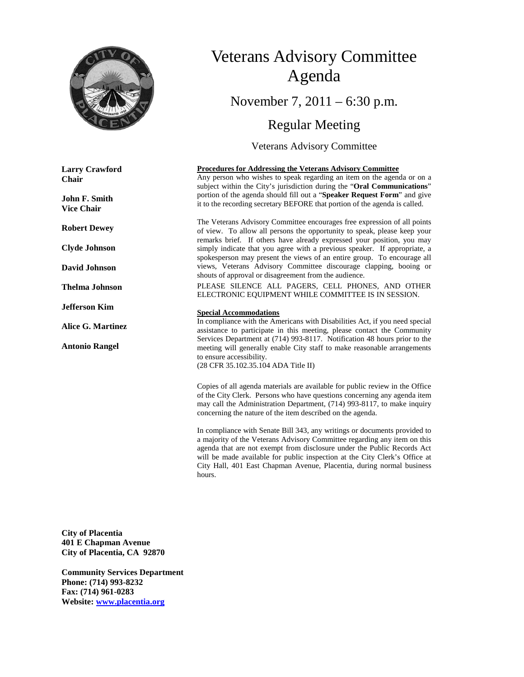

**Larry Crawford Chair**

**John F. Smith Vice Chair**

**Robert Dewey**

**Clyde Johnson**

**David Johnson**

**Thelma Johnson**

**Jefferson Kim**

**Alice G. Martinez**

**Antonio Rangel**

# Veterans Advisory Committee Agenda

November 7, 2011 – 6:30 p.m.

# Regular Meeting

Veterans Advisory Committee

#### **Procedures for Addressing the Veterans Advisory Committee**

Any person who wishes to speak regarding an item on the agenda or on a subject within the City's jurisdiction during the "**Oral Communications**" portion of the agenda should fill out a "**Speaker Request Form**" and give it to the recording secretary BEFORE that portion of the agenda is called.

The Veterans Advisory Committee encourages free expression of all points of view. To allow all persons the opportunity to speak, please keep your remarks brief. If others have already expressed your position, you may simply indicate that you agree with a previous speaker. If appropriate, a spokesperson may present the views of an entire group. To encourage all views, Veterans Advisory Committee discourage clapping, booing or shouts of approval or disagreement from the audience.

PLEASE SILENCE ALL PAGERS, CELL PHONES, AND OTHER ELECTRONIC EQUIPMENT WHILE COMMITTEE IS IN SESSION.

#### **Special Accommodations**

In compliance with the Americans with Disabilities Act, if you need special assistance to participate in this meeting, please contact the Community Services Department at (714) 993-8117. Notification 48 hours prior to the meeting will generally enable City staff to make reasonable arrangements to ensure accessibility.

(28 CFR 35.102.35.104 ADA Title II)

Copies of all agenda materials are available for public review in the Office of the City Clerk. Persons who have questions concerning any agenda item may call the Administration Department, (714) 993-8117, to make inquiry concerning the nature of the item described on the agenda.

In compliance with Senate Bill 343, any writings or documents provided to a majority of the Veterans Advisory Committee regarding any item on this agenda that are not exempt from disclosure under the Public Records Act will be made available for public inspection at the City Clerk's Office at City Hall, 401 East Chapman Avenue, Placentia, during normal business hours.

**City of Placentia 401 E Chapman Avenue City of Placentia, CA 92870**

**Community Services Department Phone: (714) 993-8232 Fax: (714) 961-0283 Website: [www.placentia.org](http://www.placentia.org/)**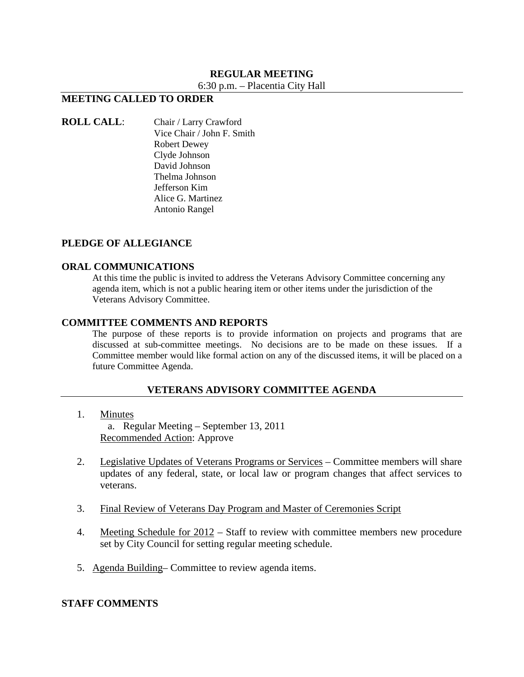# **REGULAR MEETING**

6:30 p.m. – Placentia City Hall

# **MEETING CALLED TO ORDER**

**ROLL CALL**: Chair / Larry Crawford Vice Chair / John F. Smith Robert Dewey Clyde Johnson David Johnson Thelma Johnson Jefferson Kim Alice G. Martinez Antonio Rangel

#### **PLEDGE OF ALLEGIANCE**

#### **ORAL COMMUNICATIONS**

At this time the public is invited to address the Veterans Advisory Committee concerning any agenda item, which is not a public hearing item or other items under the jurisdiction of the Veterans Advisory Committee.

#### **COMMITTEE COMMENTS AND REPORTS**

The purpose of these reports is to provide information on projects and programs that are discussed at sub-committee meetings. No decisions are to be made on these issues. If a Committee member would like formal action on any of the discussed items, it will be placed on a future Committee Agenda.

#### **VETERANS ADVISORY COMMITTEE AGENDA**

1. Minutes

a. Regular Meeting – September 13, 2011 Recommended Action: Approve

- 2. Legislative Updates of Veterans Programs or Services Committee members will share updates of any federal, state, or local law or program changes that affect services to veterans.
- 3. Final Review of Veterans Day Program and Master of Ceremonies Script
- 4. Meeting Schedule for 2012 Staff to review with committee members new procedure set by City Council for setting regular meeting schedule.
- 5. Agenda Building– Committee to review agenda items.

## **STAFF COMMENTS**